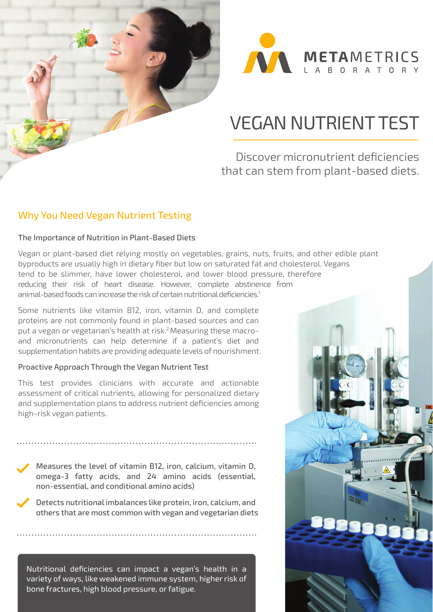



## VEGAN NUTRIENT TEST

## Discover micronutrient deficiencies that can stem from plant-based diets.

#### Why You Need Vegan Nutrient Testing

#### The Importance of Nutrition in Plant-Based Diets

Vegan or plant-based diet relying mostly on vegetables, grains, nuts, fruits, and other edible plant byproducts are usually high in dietary fiber but low on saturated fat and cholesterol. Vegans tend to be slimmer, have lower cholesterol, and lower blood pressure, therefore reducing their risk of heart disease. However, complete abstinence from animal-based foods can increase the risk of certain nutritional deficiencies.<sup>1</sup>

Some nutrients like vitamin B12, iron, vitamin D, and complete proteins are not commonly found in plant-based sources and can put a vegan or vegetarian's health at risk.2 Measuring these macroand micronutrients can help determine if a patient's diet and supplementation habits are providing adequate levels of nourishment.

#### Proactive Approach Through the Vegan Nutrient Test

This test provides clinicians with accurate and actionable assessment of critical nutrients, allowing for personalized dietary and supplementation plans to address nutrient deficiencies among high-risk vegan patients.

Measures the level of vitamin B12, iron, calcium, vitamin D, omega-3 fatty acids, and 24 amino acids (essential, non-essential, and conditional amino acids)

Detects nutritional imbalances like protein, iron, calcium, and others that are most common with vegan and vegetarian diets

Nutritional deficiencies can impact a vegan's health in a variety of ways, like weakened immune system, higher risk of bone fractures, high blood pressure, or fatigue.